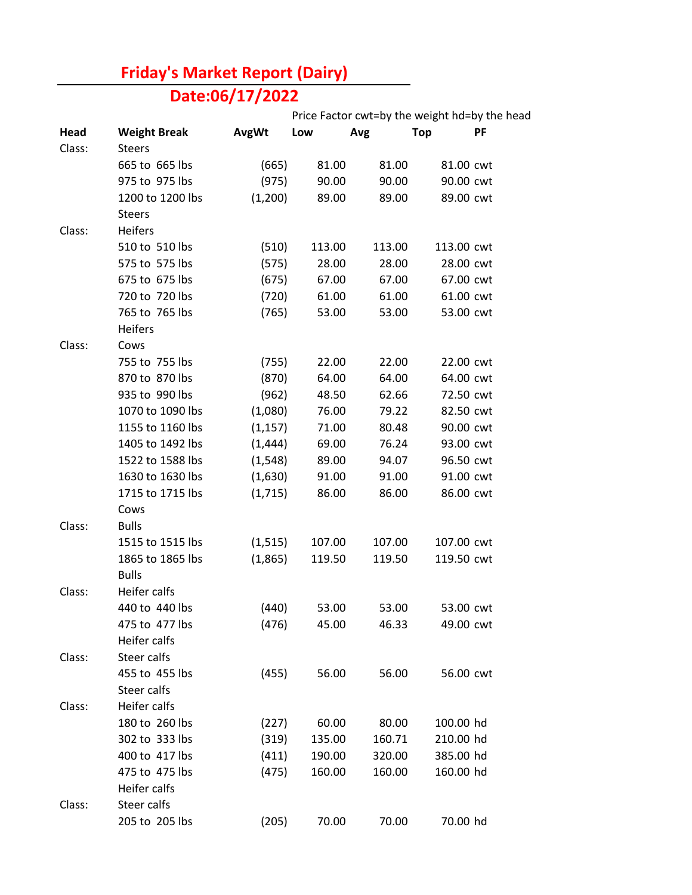## **Friday's Market Report (Dairy)**

## **Date:06/17/2022**

|        |                     |              | Price Factor cwt=by the weight hd=by the head |        |            |    |
|--------|---------------------|--------------|-----------------------------------------------|--------|------------|----|
| Head   | <b>Weight Break</b> | <b>AvgWt</b> | Low                                           | Avg    | <b>Top</b> | PF |
| Class: | <b>Steers</b>       |              |                                               |        |            |    |
|        | 665 to 665 lbs      | (665)        | 81.00                                         | 81.00  | 81.00 cwt  |    |
|        | 975 to 975 lbs      | (975)        | 90.00                                         | 90.00  | 90.00 cwt  |    |
|        | 1200 to 1200 lbs    | (1,200)      | 89.00                                         | 89.00  | 89.00 cwt  |    |
|        | <b>Steers</b>       |              |                                               |        |            |    |
| Class: | Heifers             |              |                                               |        |            |    |
|        | 510 to 510 lbs      | (510)        | 113.00                                        | 113.00 | 113.00 cwt |    |
|        | 575 to 575 lbs      | (575)        | 28.00                                         | 28.00  | 28.00 cwt  |    |
|        | 675 to 675 lbs      | (675)        | 67.00                                         | 67.00  | 67.00 cwt  |    |
|        | 720 to 720 lbs      | (720)        | 61.00                                         | 61.00  | 61.00 cwt  |    |
|        | 765 to 765 lbs      | (765)        | 53.00                                         | 53.00  | 53.00 cwt  |    |
|        | <b>Heifers</b>      |              |                                               |        |            |    |
| Class: | Cows                |              |                                               |        |            |    |
|        | 755 to 755 lbs      | (755)        | 22.00                                         | 22.00  | 22.00 cwt  |    |
|        | 870 to 870 lbs      | (870)        | 64.00                                         | 64.00  | 64.00 cwt  |    |
|        | 935 to 990 lbs      | (962)        | 48.50                                         | 62.66  | 72.50 cwt  |    |
|        | 1070 to 1090 lbs    | (1,080)      | 76.00                                         | 79.22  | 82.50 cwt  |    |
|        | 1155 to 1160 lbs    | (1, 157)     | 71.00                                         | 80.48  | 90.00 cwt  |    |
|        | 1405 to 1492 lbs    | (1, 444)     | 69.00                                         | 76.24  | 93.00 cwt  |    |
|        | 1522 to 1588 lbs    | (1, 548)     | 89.00                                         | 94.07  | 96.50 cwt  |    |
|        | 1630 to 1630 lbs    | (1,630)      | 91.00                                         | 91.00  | 91.00 cwt  |    |
|        | 1715 to 1715 lbs    | (1,715)      | 86.00                                         | 86.00  | 86.00 cwt  |    |
|        | Cows                |              |                                               |        |            |    |
| Class: | <b>Bulls</b>        |              |                                               |        |            |    |
|        | 1515 to 1515 lbs    | (1, 515)     | 107.00                                        | 107.00 | 107.00 cwt |    |
|        | 1865 to 1865 lbs    | (1,865)      | 119.50                                        | 119.50 | 119.50 cwt |    |
|        | <b>Bulls</b>        |              |                                               |        |            |    |
| Class: | Heifer calfs        |              |                                               |        |            |    |
|        | 440 to 440 lbs      | (440)        | 53.00                                         | 53.00  | 53.00 cwt  |    |
|        | 475 to 477 lbs      | (476)        | 45.00                                         | 46.33  | 49.00 cwt  |    |
|        | Heifer calfs        |              |                                               |        |            |    |
| Class: | Steer calfs         |              |                                               |        |            |    |
|        | 455 to 455 lbs      | (455)        | 56.00                                         | 56.00  | 56.00 cwt  |    |
|        | Steer calfs         |              |                                               |        |            |    |
| Class: | Heifer calfs        |              |                                               |        |            |    |
|        | 180 to 260 lbs      | (227)        | 60.00                                         | 80.00  | 100.00 hd  |    |
|        | 302 to 333 lbs      | (319)        | 135.00                                        | 160.71 | 210.00 hd  |    |
|        | 400 to 417 lbs      | (411)        | 190.00                                        | 320.00 | 385.00 hd  |    |
|        | 475 to 475 lbs      | (475)        | 160.00                                        | 160.00 | 160.00 hd  |    |
|        | Heifer calfs        |              |                                               |        |            |    |
| Class: | Steer calfs         |              |                                               |        |            |    |
|        | 205 to 205 lbs      | (205)        | 70.00                                         | 70.00  | 70.00 hd   |    |
|        |                     |              |                                               |        |            |    |